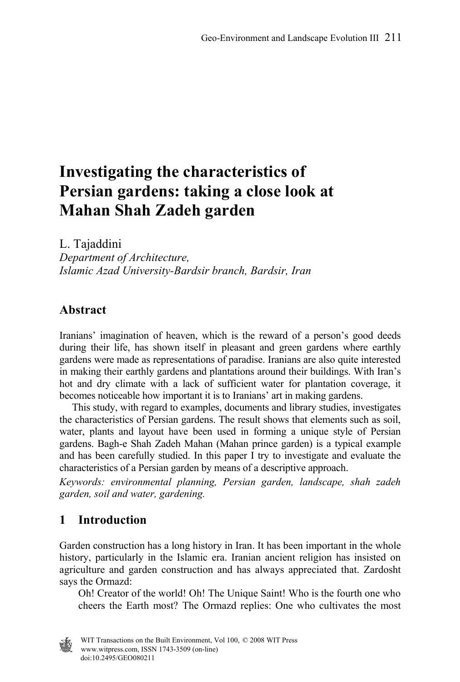# **Investigating the characteristics of Persian gardens: taking a close look at Mahan Shah Zadeh garden**

L. Tajaddini

*Department of Architecture, Islamic Azad University-Bardsir branch, Bardsir, Iran* 

### **Abstract**

Iranians' imagination of heaven, which is the reward of a person's good deeds during their life, has shown itself in pleasant and green gardens where earthly gardens were made as representations of paradise. Iranians are also quite interested in making their earthly gardens and plantations around their buildings. With Iran's hot and dry climate with a lack of sufficient water for plantation coverage, it becomes noticeable how important it is to Iranians' art in making gardens.

 This study, with regard to examples, documents and library studies, investigates the characteristics of Persian gardens. The result shows that elements such as soil, water, plants and layout have been used in forming a unique style of Persian gardens. Bagh-e Shah Zadeh Mahan (Mahan prince garden) is a typical example and has been carefully studied. In this paper I try to investigate and evaluate the characteristics of a Persian garden by means of a descriptive approach.

*Keywords: environmental planning, Persian garden, landscape, shah zadeh garden, soil and water, gardening.* 

# **1 Introduction**

Garden construction has a long history in Iran. It has been important in the whole history, particularly in the Islamic era. Iranian ancient religion has insisted on agriculture and garden construction and has always appreciated that. Zardosht says the Ormazd:

Oh! Creator of the world! Oh! The Unique Saint! Who is the fourth one who cheers the Earth most? The Ormazd replies: One who cultivates the most

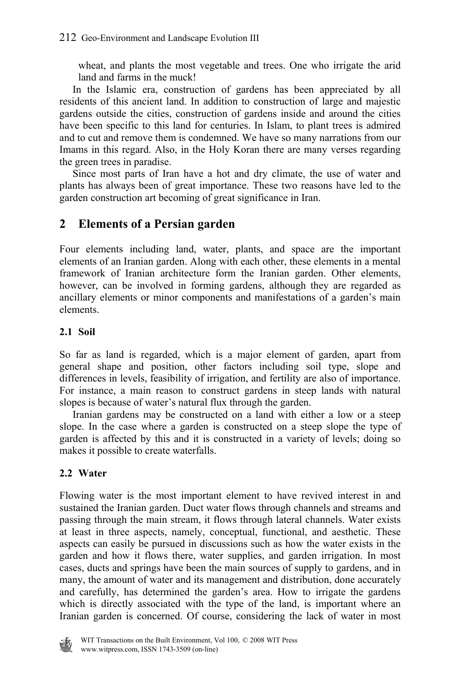wheat, and plants the most vegetable and trees. One who irrigate the arid land and farms in the muck!

 In the Islamic era, construction of gardens has been appreciated by all residents of this ancient land. In addition to construction of large and majestic gardens outside the cities, construction of gardens inside and around the cities have been specific to this land for centuries. In Islam, to plant trees is admired and to cut and remove them is condemned. We have so many narrations from our Imams in this regard. Also, in the Holy Koran there are many verses regarding the green trees in paradise.

 Since most parts of Iran have a hot and dry climate, the use of water and plants has always been of great importance. These two reasons have led to the garden construction art becoming of great significance in Iran.

# **2 Elements of a Persian garden**

Four elements including land, water, plants, and space are the important elements of an Iranian garden. Along with each other, these elements in a mental framework of Iranian architecture form the Iranian garden. Other elements, however, can be involved in forming gardens, although they are regarded as ancillary elements or minor components and manifestations of a garden's main elements.

### **2.1 Soil**

So far as land is regarded, which is a major element of garden, apart from general shape and position, other factors including soil type, slope and differences in levels, feasibility of irrigation, and fertility are also of importance. For instance, a main reason to construct gardens in steep lands with natural slopes is because of water's natural flux through the garden.

 Iranian gardens may be constructed on a land with either a low or a steep slope. In the case where a garden is constructed on a steep slope the type of garden is affected by this and it is constructed in a variety of levels; doing so makes it possible to create waterfalls.

### **2.2 Water**

Flowing water is the most important element to have revived interest in and sustained the Iranian garden. Duct water flows through channels and streams and passing through the main stream, it flows through lateral channels. Water exists at least in three aspects, namely, conceptual, functional, and aesthetic. These aspects can easily be pursued in discussions such as how the water exists in the garden and how it flows there, water supplies, and garden irrigation. In most cases, ducts and springs have been the main sources of supply to gardens, and in many, the amount of water and its management and distribution, done accurately and carefully, has determined the garden's area. How to irrigate the gardens which is directly associated with the type of the land, is important where an Iranian garden is concerned. Of course, considering the lack of water in most

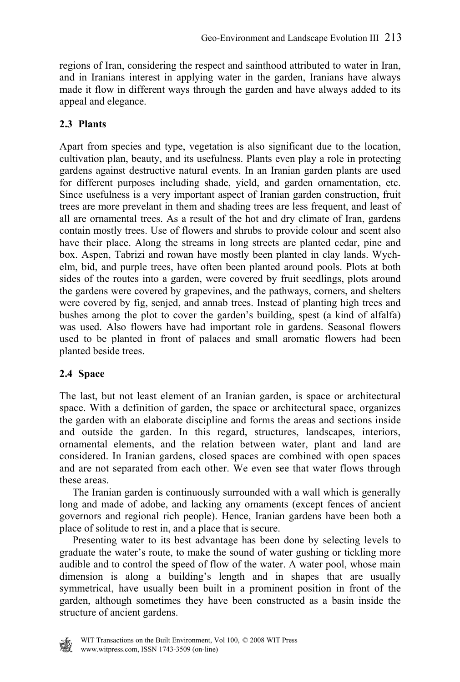regions of Iran, considering the respect and sainthood attributed to water in Iran, and in Iranians interest in applying water in the garden, Iranians have always made it flow in different ways through the garden and have always added to its appeal and elegance.

#### **2.3 Plants**

Apart from species and type, vegetation is also significant due to the location, cultivation plan, beauty, and its usefulness. Plants even play a role in protecting gardens against destructive natural events. In an Iranian garden plants are used for different purposes including shade, yield, and garden ornamentation, etc. Since usefulness is a very important aspect of Iranian garden construction, fruit trees are more prevelant in them and shading trees are less frequent, and least of all are ornamental trees. As a result of the hot and dry climate of Iran, gardens contain mostly trees. Use of flowers and shrubs to provide colour and scent also have their place. Along the streams in long streets are planted cedar, pine and box. Aspen, Tabrizi and rowan have mostly been planted in clay lands. Wychelm, bid, and purple trees, have often been planted around pools. Plots at both sides of the routes into a garden, were covered by fruit seedlings, plots around the gardens were covered by grapevines, and the pathways, corners, and shelters were covered by fig, senjed, and annab trees. Instead of planting high trees and bushes among the plot to cover the garden's building, spest (a kind of alfalfa) was used. Also flowers have had important role in gardens. Seasonal flowers used to be planted in front of palaces and small aromatic flowers had been planted beside trees.

#### **2.4 Space**

The last, but not least element of an Iranian garden, is space or architectural space. With a definition of garden, the space or architectural space, organizes the garden with an elaborate discipline and forms the areas and sections inside and outside the garden. In this regard, structures, landscapes, interiors, ornamental elements, and the relation between water, plant and land are considered. In Iranian gardens, closed spaces are combined with open spaces and are not separated from each other. We even see that water flows through these areas.

 The Iranian garden is continuously surrounded with a wall which is generally long and made of adobe, and lacking any ornaments (except fences of ancient governors and regional rich people). Hence, Iranian gardens have been both a place of solitude to rest in, and a place that is secure.

 Presenting water to its best advantage has been done by selecting levels to graduate the water's route, to make the sound of water gushing or tickling more audible and to control the speed of flow of the water. A water pool, whose main dimension is along a building's length and in shapes that are usually symmetrical, have usually been built in a prominent position in front of the garden, although sometimes they have been constructed as a basin inside the structure of ancient gardens.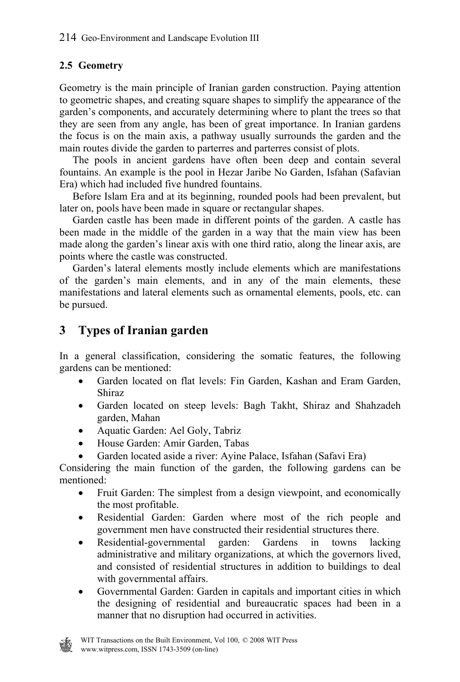### **2.5 Geometry**

Geometry is the main principle of Iranian garden construction. Paying attention to geometric shapes, and creating square shapes to simplify the appearance of the garden's components, and accurately determining where to plant the trees so that they are seen from any angle, has been of great importance. In Iranian gardens the focus is on the main axis, a pathway usually surrounds the garden and the main routes divide the garden to parterres and parterres consist of plots.

 The pools in ancient gardens have often been deep and contain several fountains. An example is the pool in Hezar Jaribe No Garden, Isfahan (Safavian Era) which had included five hundred fountains.

 Before Islam Era and at its beginning, rounded pools had been prevalent, but later on, pools have been made in square or rectangular shapes.

 Garden castle has been made in different points of the garden. A castle has been made in the middle of the garden in a way that the main view has been made along the garden's linear axis with one third ratio, along the linear axis, are points where the castle was constructed.

 Garden's lateral elements mostly include elements which are manifestations of the garden's main elements, and in any of the main elements, these manifestations and lateral elements such as ornamental elements, pools, etc. can be pursued.

# **3 Types of Iranian garden**

In a general classification, considering the somatic features, the following gardens can be mentioned:

- Garden located on flat levels: Fin Garden, Kashan and Eram Garden, Shiraz
- Garden located on steep levels: Bagh Takht, Shiraz and Shahzadeh garden, Mahan
- Aquatic Garden: Ael Goly, Tabriz
- House Garden: Amir Garden, Tabas
- Garden located aside a river: Ayine Palace, Isfahan (Safavi Era)

Considering the main function of the garden, the following gardens can be mentioned:

- Fruit Garden: The simplest from a design viewpoint, and economically the most profitable.
- Residential Garden: Garden where most of the rich people and government men have constructed their residential structures there.
- Residential-governmental garden: Gardens in towns lacking administrative and military organizations, at which the governors lived, and consisted of residential structures in addition to buildings to deal with governmental affairs.
- Governmental Garden: Garden in capitals and important cities in which the designing of residential and bureaucratic spaces had been in a manner that no disruption had occurred in activities.

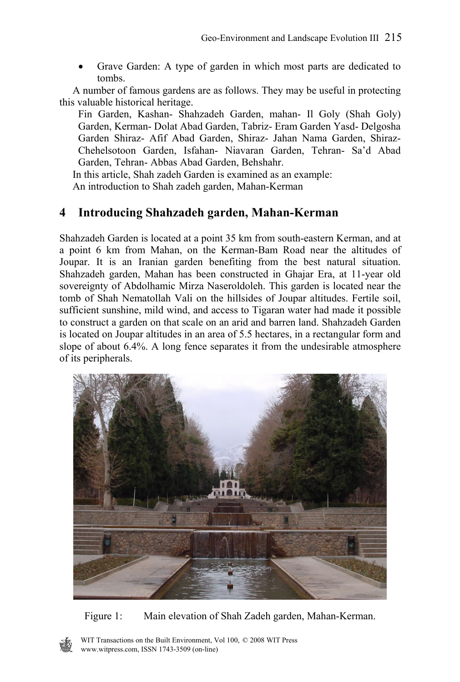• Grave Garden: A type of garden in which most parts are dedicated to tombs.

 A number of famous gardens are as follows. They may be useful in protecting this valuable historical heritage.

Fin Garden, Kashan- Shahzadeh Garden, mahan- Il Goly (Shah Goly) Garden, Kerman- Dolat Abad Garden, Tabriz- Eram Garden Yasd- Delgosha Garden Shiraz- Afif Abad Garden, Shiraz- Jahan Nama Garden, Shiraz-Chehelsotoon Garden, Isfahan- Niavaran Garden, Tehran- Sa'd Abad Garden, Tehran- Abbas Abad Garden, Behshahr.

In this article, Shah zadeh Garden is examined as an example:

An introduction to Shah zadeh garden, Mahan-Kerman

# **4 Introducing Shahzadeh garden, Mahan-Kerman**

Shahzadeh Garden is located at a point 35 km from south-eastern Kerman, and at a point 6 km from Mahan, on the Kerman-Bam Road near the altitudes of Joupar. It is an Iranian garden benefiting from the best natural situation. Shahzadeh garden, Mahan has been constructed in Ghajar Era, at 11-year old sovereignty of Abdolhamic Mirza Naseroldoleh. This garden is located near the tomb of Shah Nematollah Vali on the hillsides of Joupar altitudes. Fertile soil, sufficient sunshine, mild wind, and access to Tigaran water had made it possible to construct a garden on that scale on an arid and barren land. Shahzadeh Garden is located on Joupar altitudes in an area of 5.5 hectares, in a rectangular form and slope of about 6.4%. A long fence separates it from the undesirable atmosphere of its peripherals.



Figure 1: Main elevation of Shah Zadeh garden, Mahan-Kerman.

WIT Transactions on the Built Environment, Vol 100, © 2008 WIT Press www.witpress.com, ISSN 1743-3509 (on-line)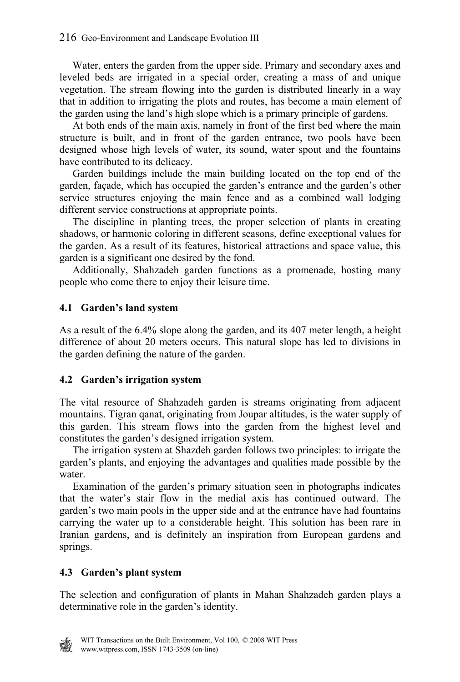#### 216 Geo-Environment and Landscape Evolution III

 Water, enters the garden from the upper side. Primary and secondary axes and leveled beds are irrigated in a special order, creating a mass of and unique vegetation. The stream flowing into the garden is distributed linearly in a way that in addition to irrigating the plots and routes, has become a main element of the garden using the land's high slope which is a primary principle of gardens.

 At both ends of the main axis, namely in front of the first bed where the main structure is built, and in front of the garden entrance, two pools have been designed whose high levels of water, its sound, water spout and the fountains have contributed to its delicacy.

 Garden buildings include the main building located on the top end of the garden, façade, which has occupied the garden's entrance and the garden's other service structures enjoying the main fence and as a combined wall lodging different service constructions at appropriate points.

 The discipline in planting trees, the proper selection of plants in creating shadows, or harmonic coloring in different seasons, define exceptional values for the garden. As a result of its features, historical attractions and space value, this garden is a significant one desired by the fond.

 Additionally, Shahzadeh garden functions as a promenade, hosting many people who come there to enjoy their leisure time.

#### **4.1 Garden's land system**

As a result of the 6.4% slope along the garden, and its 407 meter length, a height difference of about 20 meters occurs. This natural slope has led to divisions in the garden defining the nature of the garden.

#### **4.2 Garden's irrigation system**

The vital resource of Shahzadeh garden is streams originating from adjacent mountains. Tigran qanat, originating from Joupar altitudes, is the water supply of this garden. This stream flows into the garden from the highest level and constitutes the garden's designed irrigation system.

 The irrigation system at Shazdeh garden follows two principles: to irrigate the garden's plants, and enjoying the advantages and qualities made possible by the water.

 Examination of the garden's primary situation seen in photographs indicates that the water's stair flow in the medial axis has continued outward. The garden's two main pools in the upper side and at the entrance have had fountains carrying the water up to a considerable height. This solution has been rare in Iranian gardens, and is definitely an inspiration from European gardens and springs.

#### **4.3 Garden's plant system**

The selection and configuration of plants in Mahan Shahzadeh garden plays a determinative role in the garden's identity.

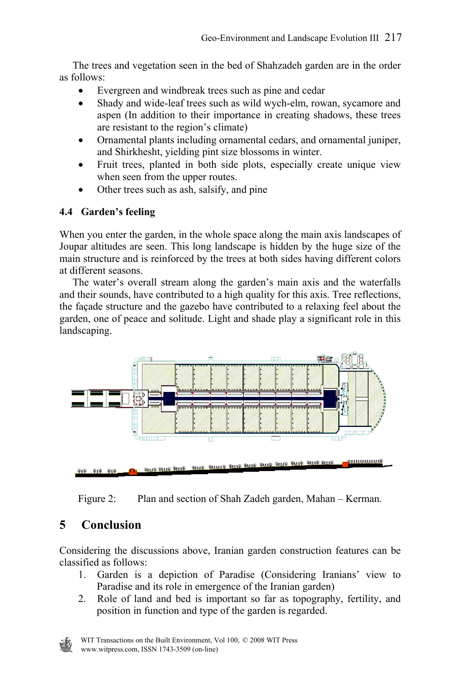The trees and vegetation seen in the bed of Shahzadeh garden are in the order as follows:

- Evergreen and windbreak trees such as pine and cedar
- Shady and wide-leaf trees such as wild wych-elm, rowan, sycamore and aspen (In addition to their importance in creating shadows, these trees are resistant to the region's climate)
- Ornamental plants including ornamental cedars, and ornamental juniper, and Shirkhesht, yielding pint size blossoms in winter.
- Fruit trees, planted in both side plots, especially create unique view when seen from the upper routes.
- Other trees such as ash, salsify, and pine

### **4.4 Garden's feeling**

When you enter the garden, in the whole space along the main axis landscapes of Joupar altitudes are seen. This long landscape is hidden by the huge size of the main structure and is reinforced by the trees at both sides having different colors at different seasons.

 The water's overall stream along the garden's main axis and the waterfalls and their sounds, have contributed to a high quality for this axis. Tree reflections, the façade structure and the gazebo have contributed to a relaxing feel about the garden, one of peace and solitude. Light and shade play a significant role in this landscaping.



Figure 2: Plan and section of Shah Zadeh garden, Mahan – Kerman.

# **5 Conclusion**

Considering the discussions above, Iranian garden construction features can be classified as follows:

- 1. Garden is a depiction of Paradise (Considering Iranians' view to Paradise and its role in emergence of the Iranian garden)
- 2. Role of land and bed is important so far as topography, fertility, and position in function and type of the garden is regarded.